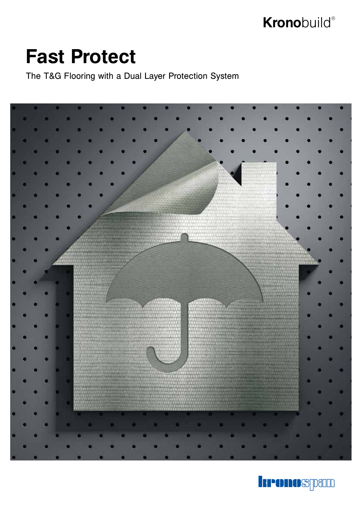## **Krono**build®

## **Fast Protect**

The T&G Flooring with a Dual Layer Protection System



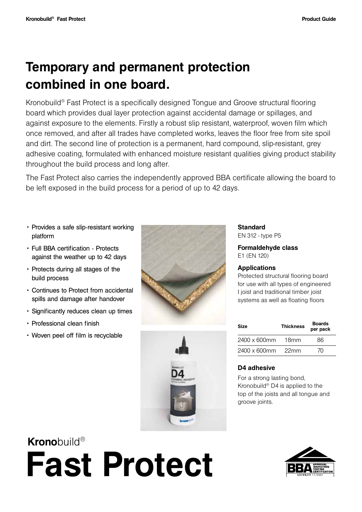### **Temporary and permanent protection combined in one board.**

Kronobuild® Fast Protect is a specifically designed Tongue and Groove structural flooring board which provides dual layer protection against accidental damage or spillages, and against exposure to the elements. Firstly a robust slip resistant, waterproof, woven film which once removed, and after all trades have completed works, leaves the floor free from site spoil and dirt. The second line of protection is a permanent, hard compound, slip-resistant, grey adhesive coating, formulated with enhanced moisture resistant qualities giving product stability throughout the build process and long after.

The Fast Protect also carries the independently approved BBA certificate allowing the board to be left exposed in the build process for a period of up to 42 days.

- Provides a safe slip-resistant working platform
- Full BBA certification Protects against the weather up to 42 days
- Protects during all stages of the build process
- Continues to Protect from accidental spills and damage after handover
- Significantly reduces clean up times
- Professional clean finish
- Woven peel off film is recyclable





**Standard** EN 312 - type P5

**Formaldehyde class** E1 (EN 120)

#### **Applications**

Protected structural flooring board for use with all types of engineered I joist and traditional timber joist systems as well as floating floors

| Size                 | <b>Thickness</b> | <b>Boards</b><br>per pack |  |
|----------------------|------------------|---------------------------|--|
| $2400 \times 600$ mm | 18mm             | 86                        |  |
| $2400 \times 600$ mm | 22 <sub>mm</sub> | 70                        |  |

#### **D4 adhesive**

For a strong lasting bond, Kronobuild® D4 is applied to the top of the joists and all tongue and groove joints.

# **Krono**build® **Fast Protect**

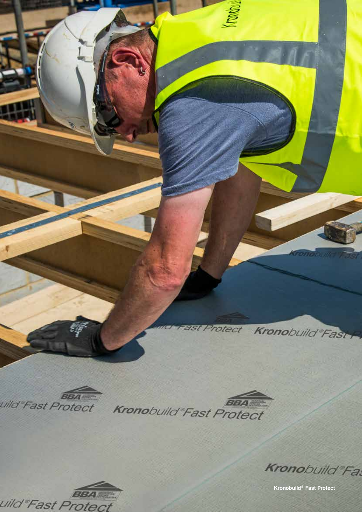

**BBA** 

uild Fast Protect

**Kronobuild® Fast Protect**